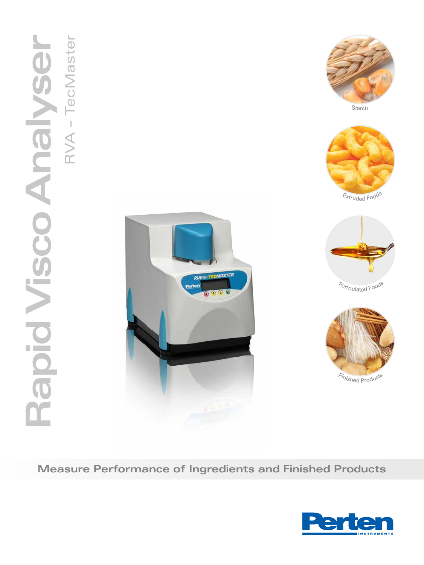





<sup>E</sup>xtrude<sup>d</sup> <sup>F</sup>ood<sup>s</sup>

<sup>F</sup>ormulate<sup>d</sup> <sup>F</sup>ood<sup>s</sup>